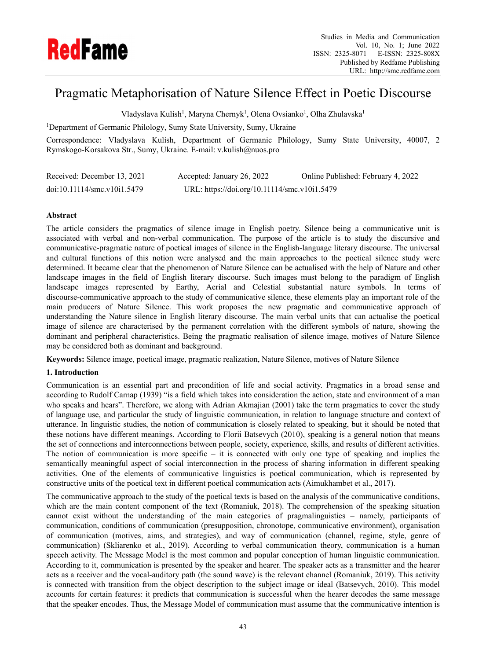

# Pragmatic Metaphorisation of Nature Silence Effect in Poetic Discourse

Vladyslava Kulish<sup>1</sup>, Maryna Chernyk<sup>1</sup>, Olena Ovsianko<sup>1</sup>, Olha Zhulavska<sup>1</sup>

<sup>1</sup>Department of Germanic Philology, Sumy State University, Sumy, Ukraine

Correspondence: Vladyslava Kulish, Department of Germanic Philology, Sumy State University, 40007, 2 Rymskogo-Korsakova Str., Sumy, Ukraine. E-mail: v.kulish@nuos.pro

| Received: December 13, 2021                              | Accepted: January 26, 2022                   | Online Published: February 4, 2022 |
|----------------------------------------------------------|----------------------------------------------|------------------------------------|
| $\text{doi:10.11114}/\text{smc} \cdot \text{v10i1.5479}$ | URL: https://doi.org/10.11114/smc.v10i1.5479 |                                    |

# **Abstract**

The article considers the pragmatics of silence image in English poetry. Silence being a communicative unit is associated with verbal and non-verbal communication. The purpose of the article is to study the discursive and communicative-pragmatic nature of poetical images of silence in the English-language literary discourse. The universal and cultural functions of this notion were analysed and the main approaches to the poetical silence study were determined. It became clear that the phenomenon of Nature Silence can be actualised with the help of Nature and other landscape images in the field of English literary discourse. Such images must belong to the paradigm of English landscape images represented by Earthy, Aerial and Celestial substantial nature symbols. In terms of discourse-communicative approach to the study of communicative silence, these elements play an important role of the main producers of Nature Silence. This work proposes the new pragmatic and communicative approach of understanding the Nature silence in English literary discourse. The main verbal units that can actualise the poetical image of silence are characterised by the permanent correlation with the different symbols of nature, showing the dominant and peripheral characteristics. Being the pragmatic realisation of silence image, motives of Nature Silence may be considered both as dominant and background.

**Keywords:** Silence image, poetical image, pragmatic realization, Nature Silence, motives of Nature Silence

# **1. Introduction**

Communication is an essential part and precondition of life and social activity. Pragmatics in a broad sense and according to Rudolf Carnap (1939) "is a field which takes into consideration the action, state and environment of a man who speaks and hears". Therefore, we along with Adrian Akmajian (2001) take the term pragmatics to cover the study of language use, and particular the study of linguistic communication, in relation to language structure and context of utterance. In linguistic studies, the notion of communication is closely related to speaking, but it should be noted that these notions have different meanings. According to Florii Batsevych (2010), speaking is a general notion that means the set of connections and interconnections between people, society, experience, skills, and results of different activities. The notion of communication is more specific – it is connected with only one type of speaking and implies the semantically meaningful aspect of social interconnection in the process of sharing information in different speaking activities. One of the elements of communicative linguistics is poetical communication, which is represented by constructive units of the poetical text in different poetical communication acts (Aimukhambet et al., 2017).

The communicative approach to the study of the poetical texts is based on the analysis of the communicative conditions, which are the main content component of the text (Romaniuk, 2018). The comprehension of the speaking situation cannot exist without the understanding of the main categories of pragmalinguistics – namely, participants of communication, conditions of communication (presupposition, chronotope, communicative environment), organisation of communication (motives, aims, and strategies), and way of communication (channel, regime, style, genre of communication) (Skliarenko et al., 2019). According to verbal communication theory, communication is a human speech activity. The Message Model is the most common and popular conception of human linguistic communication. According to it, communication is presented by the speaker and hearer. The speaker acts as a transmitter and the hearer acts as a receiver and the vocal-auditory path (the sound wave) is the relevant channel (Romaniuk, 2019). This activity is connected with transition from the object description to the subject image or ideal (Batsevych, 2010). This model accounts for certain features: it predicts that communication is successful when the hearer decodes the same message that the speaker encodes. Thus, the Message Model of communication must assume that the communicative intention is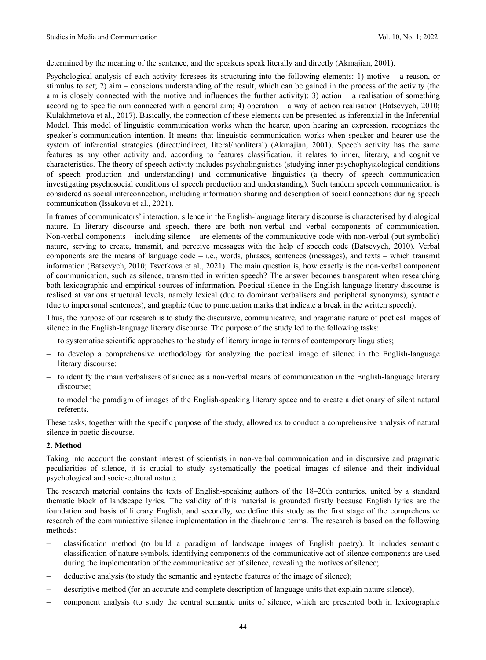determined by the meaning of the sentence, and the speakers speak literally and directly (Akmajian, 2001).

Psychological analysis of each activity foresees its structuring into the following elements: 1) motive – a reason, or stimulus to act; 2) aim – conscious understanding of the result, which can be gained in the process of the activity (the aim is closely connected with the motive and influences the further activity); 3) action – a realisation of something according to specific aim connected with a general aim; 4) operation – a way of action realisation (Batsevych, 2010; Kulakhmetova et al., 2017). Basically, the connection of these elements can be presented as inferenxial in the Inferential Model. This model of linguistic communication works when the hearer, upon hearing an expression, recognizes the speaker's communication intention. It means that linguistic communication works when speaker and hearer use the system of inferential strategies (direct/indirect, literal/nonliteral) (Akmajian, 2001). Speech activity has the same features as any other activity and, according to features classification, it relates to inner, literary, and cognitive characteristics. The theory of speech activity includes psycholinguistics (studying inner psychophysiological conditions of speech production and understanding) and communicative linguistics (a theory of speech communication investigating psychosocial conditions of speech production and understanding). Such tandem speech communication is considered as social interconnection, including information sharing and description of social connections during speech communication (Issakova et al., 2021).

In frames of communicators' interaction, silence in the English-language literary discourse is characterised by dialogical nature. In literary discourse and speech, there are both non-verbal and verbal components of communication. Non-verbal components – including silence – are elements of the communicative code with non-verbal (but symbolic) nature, serving to create, transmit, and perceive messages with the help of speech code (Batsevych, 2010). Verbal components are the means of language code – i.e., words, phrases, sentences (messages), and texts – which transmit information (Batsevych, 2010; Tsvetkova et al., 2021). The main question is, how exactly is the non-verbal component of communication, such as silence, transmitted in written speech? The answer becomes transparent when researching both lexicographic and empirical sources of information. Poetical silence in the English-language literary discourse is realised at various structural levels, namely lexical (due to dominant verbalisers and peripheral synonyms), syntactic (due to impersonal sentences), and graphic (due to punctuation marks that indicate a break in the written speech).

Thus, the purpose of our research is to study the discursive, communicative, and pragmatic nature of poetical images of silence in the English-language literary discourse. The purpose of the study led to the following tasks:

- to systematise scientific approaches to the study of literary image in terms of contemporary linguistics;
- to develop a comprehensive methodology for analyzing the poetical image of silence in the English-language literary discourse;
- to identify the main verbalisers of silence as a non-verbal means of communication in the English-language literary discourse;
- to model the paradigm of images of the English-speaking literary space and to create a dictionary of silent natural referents.

These tasks, together with the specific purpose of the study, allowed us to conduct a comprehensive analysis of natural silence in poetic discourse.

# **2. Method**

Taking into account the constant interest of scientists in non-verbal communication and in discursive and pragmatic peculiarities of silence, it is crucial to study systematically the poetical images of silence and their individual psychological and socio-cultural nature.

The research material contains the texts of English-speaking authors of the 18–20th centuries, united by a standard thematic block of landscape lyrics. The validity of this material is grounded firstly because English lyrics are the foundation and basis of literary English, and secondly, we define this study as the first stage of the comprehensive research of the communicative silence implementation in the diachronic terms. The research is based on the following methods:

- classification method (to build a paradigm of landscape images of English poetry). It includes semantic classification of nature symbols, identifying components of the communicative act of silence components are used during the implementation of the communicative act of silence, revealing the motives of silence;
- deductive analysis (to study the semantic and syntactic features of the image of silence);
- descriptive method (for an accurate and complete description of language units that explain nature silence);
- component analysis (to study the central semantic units of silence, which are presented both in lexicographic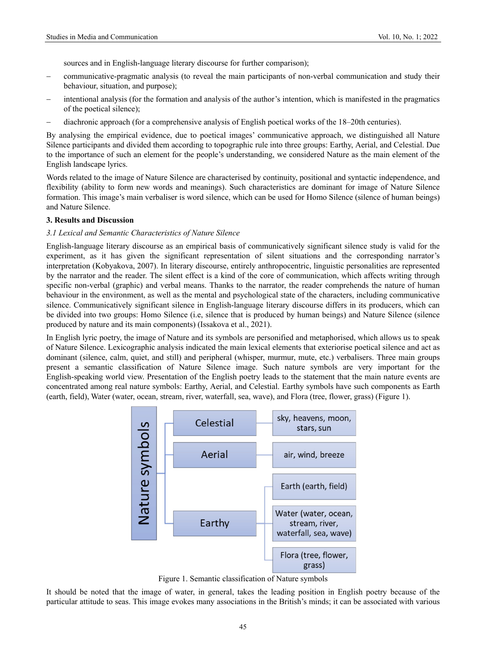sources and in English-language literary discourse for further comparison);

- communicative-pragmatic analysis (to reveal the main participants of non-verbal communication and study their behaviour, situation, and purpose);
- intentional analysis (for the formation and analysis of the author's intention, which is manifested in the pragmatics of the poetical silence);
- diachronic approach (for a comprehensive analysis of English poetical works of the 18–20th centuries).

By analysing the empirical evidence, due to poetical images' communicative approach, we distinguished all Nature Silence participants and divided them according to topographic rule into three groups: Earthy, Aerial, and Celestial. Due to the importance of such an element for the people's understanding, we considered Nature as the main element of the English landscape lyrics.

Words related to the image of Nature Silence are characterised by continuity, positional and syntactic independence, and flexibility (ability to form new words and meanings). Such characteristics are dominant for image of Nature Silence formation. This image's main verbaliser is word silence, which can be used for Homo Silence (silence of human beings) and Nature Silence.

# **3. Results and Discussion**

## *3.1 Lexical and Semantic Characteristics of Nature Silence*

English-language literary discourse as an empirical basis of communicatively significant silence study is valid for the experiment, as it has given the significant representation of silent situations and the corresponding narrator's interpretation (Kobyakova, 2007). In literary discourse, entirely anthropocentric, linguistic personalities are represented by the narrator and the reader. The silent effect is a kind of the core of communication, which affects writing through specific non-verbal (graphic) and verbal means. Thanks to the narrator, the reader comprehends the nature of human behaviour in the environment, as well as the mental and psychological state of the characters, including communicative silence. Communicatively significant silence in English-language literary discourse differs in its producers, which can be divided into two groups: Homo Silence (i.e, silence that is produced by human beings) and Nature Silence (silence produced by nature and its main components) (Issakova et al., 2021).

In English lyric poetry, the image of Nature and its symbols are personified and metaphorised, which allows us to speak of Nature Silence. Lexicographic analysis indicated the main lexical elements that exteriorise poetical silence and act as dominant (silence, calm, quiet, and still) and peripheral (whisper, murmur, mute, etc.) verbalisers. Three main groups present a semantic classification of Nature Silence image. Such nature symbols are very important for the English-speaking world view. Presentation of the English poetry leads to the statement that the main nature events are concentrated among real nature symbols: Earthy, Aerial, and Celestial. Earthy symbols have such components as Earth (earth, field), Water (water, ocean, stream, river, waterfall, sea, wave), and Flora (tree, flower, grass) (Figure 1).



Figure 1. Semantic classification of Nature symbols

It should be noted that the image of water, in general, takes the leading position in English poetry because of the particular attitude to seas. This image evokes many associations in the British's minds; it can be associated with various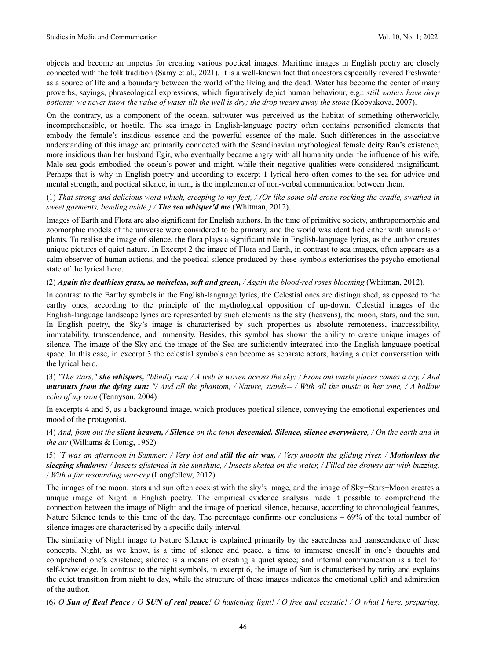objects and become an impetus for creating various poetical images. Maritime images in English poetry are closely connected with the folk tradition (Saray et al., 2021). It is a well-known fact that ancestors especially revered freshwater as a source of life and a boundary between the world of the living and the dead. Water has become the center of many proverbs, sayings, phraseological expressions, which figuratively depict human behaviour, e.g.: *still waters have deep bottoms; we never know the value of water till the well is dry; the drop wears away the stone* (Kobyakova, 2007).

On the contrary, as a component of the ocean, saltwater was perceived as the habitat of something otherworldly, incomprehensible, or hostile. The sea image in English-language poetry often contains personified elements that embody the female's insidious essence and the powerful essence of the male. Such differences in the associative understanding of this image are primarily connected with the Scandinavian mythological female deity Ran's existence, more insidious than her husband Egir, who eventually became angry with all humanity under the influence of his wife. Male sea gods embodied the ocean's power and might, while their negative qualities were considered insignificant. Perhaps that is why in English poetry and according to excerpt 1 lyrical hero often comes to the sea for advice and mental strength, and poetical silence, in turn, is the implementer of non-verbal communication between them.

(1) *That strong and delicious word which, creeping to my feet, / (Or like some old crone rocking the cradle, swathed in sweet garments, bending aside,) / The sea whisper'd me* (Whitman, 2012).

Images of Earth and Flora are also significant for English authors. In the time of primitive society, anthropomorphic and zoomorphic models of the universe were considered to be primary, and the world was identified either with animals or plants. To realise the image of silence, the flora plays a significant role in English-language lyrics, as the author creates unique pictures of quiet nature. In Excerpt 2 the image of Flora and Earth, in contrast to sea images, often appears as a calm observer of human actions, and the poetical silence produced by these symbols exteriorises the psycho-emotional state of the lyrical hero.

## (2) *Again the deathless grass, so noiseless, soft and green, / Again the blood-red roses blooming* (Whitman, 2012).

In contrast to the Earthy symbols in the English-language lyrics, the Celestial ones are distinguished, as opposed to the earthy ones, according to the principle of the mythological opposition of up-down. Celestial images of the English-language landscape lyrics are represented by such elements as the sky (heavens), the moon, stars, and the sun. In English poetry, the Sky's image is characterised by such properties as absolute remoteness, inaccessibility, immutability, transcendence, and immensity. Besides, this symbol has shown the ability to create unique images of silence. The image of the Sky and the image of the Sea are sufficiently integrated into the English-language poetical space. In this case, in excerpt 3 the celestial symbols can become as separate actors, having a quiet conversation with the lyrical hero.

(3) *"The stars," she whispers, "blindly run; / A web is woven across the sky; / From out waste places comes a cry, / And murmurs from the dying sun: "/ And all the phantom, / Nature, stands-- / With all the music in her tone, / A hollow echo of my own* (Tennyson, 2004)

In excerpts 4 and 5, as a background image, which produces poetical silence, conveying the emotional experiences and mood of the protagonist.

(4) *And, from out the silent heaven, / Silence on the town descended. Silence, silence everywhere, / On the earth and in the air* (Williams & Honig, 1962)

(5) *`T was an afternoon in Summer; / Very hot and still the air was, / Very smooth the gliding river, / Motionless the sleeping shadows: / Insects glistened in the sunshine, / Insects skated on the water, / Filled the drowsy air with buzzing, / With a far resounding war-cry* (Longfellow, 2012).

The images of the moon, stars and sun often coexist with the sky's image, and the image of Sky+Stars+Moon creates a unique image of Night in English poetry. The empirical evidence analysis made it possible to comprehend the connection between the image of Night and the image of poetical silence, because, according to chronological features, Nature Silence tends to this time of the day. The percentage confirms our conclusions – 69% of the total number of silence images are characterised by a specific daily interval.

The similarity of Night image to Nature Silence is explained primarily by the sacredness and transcendence of these concepts. Night, as we know, is a time of silence and peace, a time to immerse oneself in one's thoughts and comprehend one's existence; silence is a means of creating a quiet space; and internal communication is a tool for self-knowledge. In contrast to the night symbols, in excerpt 6, the image of Sun is characterised by rarity and explains the quiet transition from night to day, while the structure of these images indicates the emotional uplift and admiration of the author.

(6*) O Sun of Real Peace / O SUN of real peace! O hastening light! / O free and ecstatic! / O what I here, preparing,*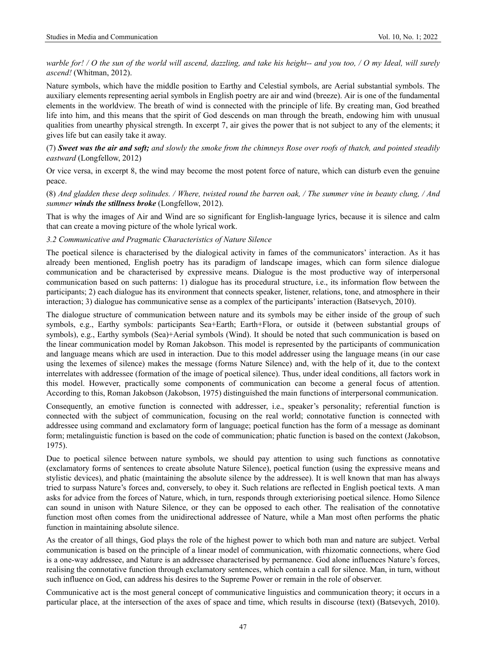*warble for! / O the sun of the world will ascend, dazzling, and take his height-- and you too, / O my Ideal, will surely ascend!* (Whitman, 2012).

Nature symbols, which have the middle position to Earthy and Celestial symbols, are Aerial substantial symbols. The auxiliary elements representing aerial symbols in English poetry are air and wind (breeze). Air is one of the fundamental elements in the worldview. The breath of wind is connected with the principle of life. By creating man, God breathed life into him, and this means that the spirit of God descends on man through the breath, endowing him with unusual qualities from unearthy physical strength. In excerpt 7, air gives the power that is not subject to any of the elements; it gives life but can easily take it away.

(7) *Sweet was the air and soft; and slowly the smoke from the chimneys Rose over roofs of thatch, and pointed steadily eastward* (Longfellow, 2012)

Or vice versa, in excerpt 8, the wind may become the most potent force of nature, which can disturb even the genuine peace.

(8) *And gladden these deep solitudes. / Where, twisted round the barren oak, / The summer vine in beauty clung, / And summer winds the stillness broke* (Longfellow, 2012).

That is why the images of Air and Wind are so significant for English-language lyrics, because it is silence and calm that can create a moving picture of the whole lyrical work.

#### *3.2 Communicative and Pragmatic Characteristics of Nature Silence*

The poetical silence is characterised by the dialogical activity in fames of the communicators' interaction. As it has already been mentioned, English poetry has its paradigm of landscape images, which can form silence dialogue communication and be characterised by expressive means. Dialogue is the most productive way of interpersonal communication based on such patterns: 1) dialogue has its procedural structure, i.e., its information flow between the participants; 2) each dialogue has its environment that connects speaker, listener, relations, tone, and atmosphere in their interaction; 3) dialogue has communicative sense as a complex of the participants' interaction (Batsevych, 2010).

The dialogue structure of communication between nature and its symbols may be either inside of the group of such symbols, e.g., Earthy symbols: participants Sea+Earth; Earth+Flora, or outside it (between substantial groups of symbols), e.g., Earthy symbols (Sea)+Aerial symbols (Wind). It should be noted that such communication is based on the linear communication model by Roman Jakobson. This model is represented by the participants of communication and language means which are used in interaction. Due to this model addresser using the language means (in our case using the lexemes of silence) makes the message (forms Nature Silence) and, with the help of it, due to the context interrelates with addressee (formation of the image of poetical silence). Thus, under ideal conditions, all factors work in this model. However, practically some components of communication can become a general focus of attention. According to this, Roman Jakobson (Jakobson, 1975) distinguished the main functions of interpersonal communication.

Consequently, an emotive function is connected with addresser, i.e., speaker's personality; referential function is connected with the subject of communication, focusing on the real world; connotative function is connected with addressee using command and exclamatory form of language; poetical function has the form of a message as dominant form; metalinguistic function is based on the code of communication; phatic function is based on the context (Jakobson, 1975).

Due to poetical silence between nature symbols, we should pay attention to using such functions as connotative (exclamatory forms of sentences to create absolute Nature Silence), poetical function (using the expressive means and stylistic devices), and phatic (maintaining the absolute silence by the addressee). It is well known that man has always tried to surpass Nature's forces and, conversely, to obey it. Such relations are reflected in English poetical texts. A man asks for advice from the forces of Nature, which, in turn, responds through exteriorising poetical silence. Homo Silence can sound in unison with Nature Silence, or they can be opposed to each other. The realisation of the connotative function most often comes from the unidirectional addressee of Nature, while a Man most often performs the phatic function in maintaining absolute silence.

As the creator of all things, God plays the role of the highest power to which both man and nature are subject. Verbal communication is based on the principle of a linear model of communication, with rhizomatic connections, where God is a one-way addressee, and Nature is an addressee characterised by permanence. God alone influences Nature's forces, realising the connotative function through exclamatory sentences, which contain a call for silence. Man, in turn, without such influence on God, can address his desires to the Supreme Power or remain in the role of observer.

Communicative act is the most general concept of communicative linguistics and communication theory; it occurs in a particular place, at the intersection of the axes of space and time, which results in discourse (text) (Batsevych, 2010).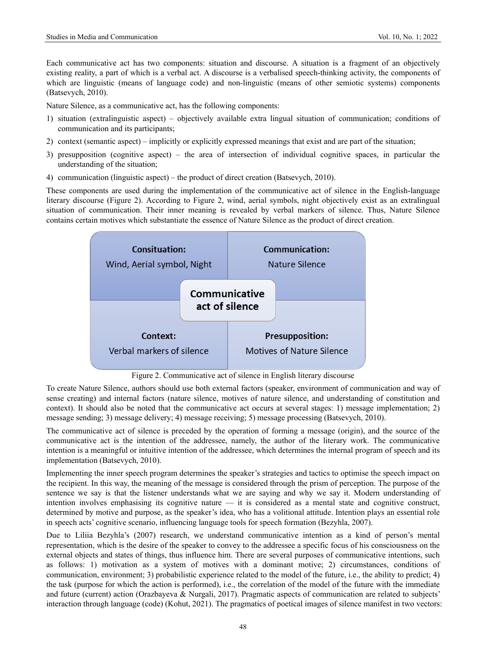Each communicative act has two components: situation and discourse. A situation is a fragment of an objectively existing reality, a part of which is a verbal act. A discourse is a verbalised speech-thinking activity, the components of which are linguistic (means of language code) and non-linguistic (means of other semiotic systems) components (Batsevych, 2010).

Nature Silence, as a communicative act, has the following components:

- 1) situation (extralinguistic aspect) objectively available extra lingual situation of communication; conditions of communication and its participants;
- 2) context (semantic aspect) implicitly or explicitly expressed meanings that exist and are part of the situation;
- 3) presupposition (cognitive aspect) the area of intersection of individual cognitive spaces, in particular the understanding of the situation;
- 4) communication (linguistic aspect) the product of direct creation (Batsevych, 2010).

These components are used during the implementation of the communicative act of silence in the English-language literary discourse (Figure 2). According to Figure 2, wind, aerial symbols, night objectively exist as an extralingual situation of communication. Their inner meaning is revealed by verbal markers of silence. Thus, Nature Silence contains certain motives which substantiate the essence of Nature Silence as the product of direct creation.



Figure 2. Communicative act of silence in English literary discourse

To create Nature Silence, authors should use both external factors (speaker, environment of communication and way of sense creating) and internal factors (nature silence, motives of nature silence, and understanding of constitution and context). It should also be noted that the communicative act occurs at several stages: 1) message implementation; 2) message sending; 3) message delivery; 4) message receiving; 5) message processing (Batsevych, 2010).

The communicative act of silence is preceded by the operation of forming a message (origin), and the source of the communicative act is the intention of the addressee, namely, the author of the literary work. The communicative intention is a meaningful or intuitive intention of the addressee, which determines the internal program of speech and its implementation (Batsevych, 2010).

Implementing the inner speech program determines the speaker's strategies and tactics to optimise the speech impact on the recipient. In this way, the meaning of the message is considered through the prism of perception. The purpose of the sentence we say is that the listener understands what we are saying and why we say it. Modern understanding of intention involves emphasising its cognitive nature  $-$  it is considered as a mental state and cognitive construct, determined by motive and purpose, as the speaker's idea, who has a volitional attitude. Intention plays an essential role in speech acts' cognitive scenario, influencing language tools for speech formation (Bezyhla, 2007).

Due to Liliia Bezyhla's (2007) research, we understand communicative intention as a kind of person's mental representation, which is the desire of the speaker to convey to the addressee a specific focus of his consciousness on the external objects and states of things, thus influence him. There are several purposes of communicative intentions, such as follows: 1) motivation as a system of motives with a dominant motive; 2) circumstances, conditions of communication, environment; 3) probabilistic experience related to the model of the future, i.e., the ability to predict; 4) the task (purpose for which the action is performed), i.e., the correlation of the model of the future with the immediate and future (current) action (Orazbayeva & Nurgali, 2017). Pragmatic aspects of communication are related to subjects' interaction through language (code) (Kohut, 2021). The pragmatics of poetical images of silence manifest in two vectors: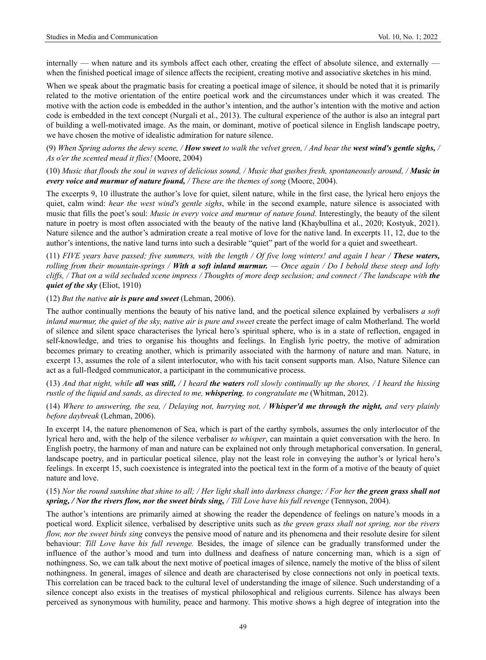internally — when nature and its symbols affect each other, creating the effect of absolute silence, and externally when the finished poetical image of silence affects the recipient, creating motive and associative sketches in his mind.

When we speak about the pragmatic basis for creating a poetical image of silence, it should be noted that it is primarily related to the motive orientation of the entire poetical work and the circumstances under which it was created. The motive with the action code is embedded in the author's intention, and the author's intention with the motive and action code is embedded in the text concept (Nurgali et al., 2013). The cultural experience of the author is also an integral part of building a well-motivated image. As the main, or dominant, motive of poetical silence in English landscape poetry, we have chosen the motive of idealistic admiration for nature silence.

(9) *When Spring adorns the dewy scene, / How sweet to walk the velvet green, / And hear the west wind's gentle sighs, / As o'er the scented mead it flies!* (Moore, 2004)

(10) *Music that floods the soul in waves of delicious sound, / Music that gushes fresh, spontaneously around, / Music in every voice and murmur of nature found, / These are the themes of song* (Moore, 2004).

The excerpts 9, 10 illustrate the author's love for quiet, silent nature, while in the first case, the lyrical hero enjoys the quiet, calm wind: *hear the west wind's gentle sighs*, while in the second example, nature silence is associated with music that fills the poet's soul: *Music in every voice and murmur of nature found*. Interestingly, the beauty of the silent nature in poetry is most often associated with the beauty of the native land (Khaybullina et al., 2020; Kostyuk, 2021). Nature silence and the author's admiration create a real motive of love for the native land. In excerpts 11, 12, due to the author's intentions, the native land turns into such a desirable "quiet" part of the world for a quiet and sweetheart.

(11) *FIVE years have passed; five summers, with the length / Of five long winters! and again I hear / These waters, rolling from their mountain-springs / With a soft inland murmur. — Once again / Do I behold these steep and lofty cliffs, / That on a wild secluded scene impress / Thoughts of more deep seclusion; and connect / The landscape with the quiet of the sky* (Eliot, 1910)

# (12) *But the native air is pure and sweet* (Lehman, 2006).

The author continually mentions the beauty of his native land, and the poetical silence explained by verbalisers *a soft inland murmur, the quiet of the sky, native air is pure and sweet* create the perfect image of calm Motherland. The world of silence and silent space characterises the lyrical hero's spiritual sphere, who is in a state of reflection, engaged in self-knowledge, and tries to organise his thoughts and feelings. In English lyric poetry, the motive of admiration becomes primary to creating another, which is primarily associated with the harmony of nature and man. Nature, in excerpt 13, assumes the role of a silent interlocutor, who with his tacit consent supports man. Also, Nature Silence can act as a full-fledged communicator, a participant in the communicative process.

(13) *And that night, while all was still, / I heard the waters roll slowly continually up the shores, / I heard the hissing rustle of the liquid and sands, as directed to me, whispering, to congratulate me* (Whitman, 2012).

# (14) *Where to answering, the sea, / Delaying not, hurrying not, / Whisper'd me through the night, and very plainly before daybreak* (Lehman, 2006).

In excerpt 14, the nature phenomenon of Sea, which is part of the earthy symbols, assumes the only interlocutor of the lyrical hero and, with the help of the silence verbaliser *to whisper*, can maintain a quiet conversation with the hero. In English poetry, the harmony of man and nature can be explained not only through metaphorical conversation. In general, landscape poetry, and in particular poetical silence, play not the least role in conveying the author's or lyrical hero's feelings. In excerpt 15, such coexistence is integrated into the poetical text in the form of a motive of the beauty of quiet nature and love.

# (15) *Nor the round sunshine that shine to all; / Her light shall into darkness change; / For her the green grass shall not spring, / Nor the rivers flow, nor the sweet birds sing, / Till Love have his full revenge* (Tennyson, 2004).

The author's intentions are primarily aimed at showing the reader the dependence of feelings on nature's moods in a poetical word. Explicit silence, verbalised by descriptive units such as *the green grass shall not spring, nor the rivers flow, nor the sweet birds sing* conveys the pensive mood of nature and its phenomena and their resolute desire for silent behaviour: *Till Love have his full revenge.* Besides, the image of silence can be gradually transformed under the influence of the author's mood and turn into dullness and deafness of nature concerning man, which is a sign of nothingness. So, we can talk about the next motive of poetical images of silence, namely the motive of the bliss of silent nothingness. In general, images of silence and death are characterised by close connections not only in poetical texts. This correlation can be traced back to the cultural level of understanding the image of silence. Such understanding of a silence concept also exists in the treatises of mystical philosophical and religious currents. Silence has always been perceived as synonymous with humility, peace and harmony. This motive shows a high degree of integration into the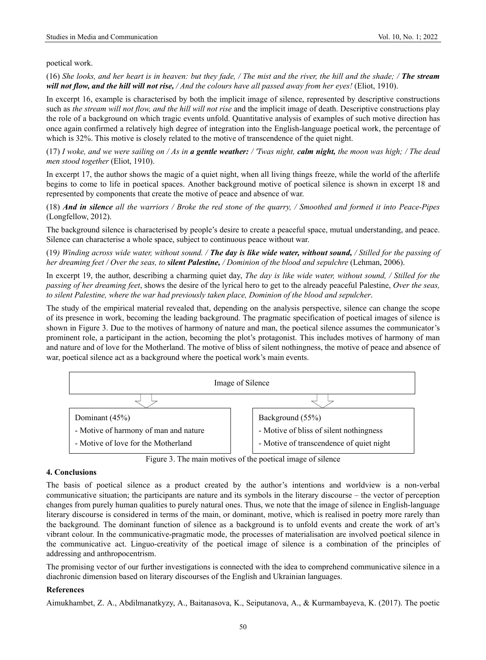poetical work.

(16) *She looks, and her heart is in heaven: but they fade, / The mist and the river, the hill and the shade; / The stream will not flow, and the hill will not rise, / And the colours have all passed away from her eyes!* (Eliot, 1910).

In excerpt 16, example is characterised by both the implicit image of silence, represented by descriptive constructions such as *the stream will not flow, and the hill will not rise* and the implicit image of death. Descriptive constructions play the role of a background on which tragic events unfold. Quantitative analysis of examples of such motive direction has once again confirmed a relatively high degree of integration into the English-language poetical work, the percentage of which is 32%. This motive is closely related to the motive of transcendence of the quiet night.

(17) *I woke, and we were sailing on / As in a gentle weather: / 'Twas night, calm night, the moon was high; / The dead men stood together* (Eliot, 1910).

In excerpt 17, the author shows the magic of a quiet night, when all living things freeze, while the world of the afterlife begins to come to life in poetical spaces. Another background motive of poetical silence is shown in excerpt 18 and represented by components that create the motive of peace and absence of war.

(18) *And in silence all the warriors / Broke the red stone of the quarry, / Smoothed and formed it into Peace-Pipes* (Longfellow, 2012).

The background silence is characterised by people's desire to create a peaceful space, mutual understanding, and peace. Silence can characterise a whole space, subject to continuous peace without war.

(19*) Winding across wide water, without sound. / The day is like wide water, without sound, / Stilled for the passing of her dreaming feet / Over the seas, to silent Palestine, / Dominion of the blood and sepulchre* (Lehman, 2006).

In excerpt 19, the author, describing a charming quiet day, *The day is like wide water, without sound, / Stilled for the passing of her dreaming feet*, shows the desire of the lyrical hero to get to the already peaceful Palestine, *Over the seas, to silent Palestine, where the war had previously taken place, Dominion of the blood and sepulcher*.

The study of the empirical material revealed that, depending on the analysis perspective, silence can change the scope of its presence in work, becoming the leading background. The pragmatic specification of poetical images of silence is shown in Figure 3. Due to the motives of harmony of nature and man, the poetical silence assumes the communicator's prominent role, a participant in the action, becoming the plot's protagonist. This includes motives of harmony of man and nature and of love for the Motherland. The motive of bliss of silent nothingness, the motive of peace and absence of war, poetical silence act as a background where the poetical work's main events.



Figure 3. The main motives of the poetical image of silence

# **4. Conclusions**

The basis of poetical silence as a product created by the author's intentions and worldview is a non-verbal communicative situation; the participants are nature and its symbols in the literary discourse – the vector of perception changes from purely human qualities to purely natural ones. Thus, we note that the image of silence in English-language literary discourse is considered in terms of the main, or dominant, motive, which is realised in poetry more rarely than the background. The dominant function of silence as a background is to unfold events and create the work of art's vibrant colour. In the communicative-pragmatic mode, the processes of materialisation are involved poetical silence in the communicative act. Linguo-creativity of the poetical image of silence is a combination of the principles of addressing and anthropocentrism.

The promising vector of our further investigations is connected with the idea to comprehend communicative silence in a diachronic dimension based on literary discourses of the English and Ukrainian languages.

# **References**

Aimukhambet, Z. A., Abdilmanatkyzy, A., Baitanasova, K., Seiputanova, A., & Kurmambayeva, K. (2017). The poetic